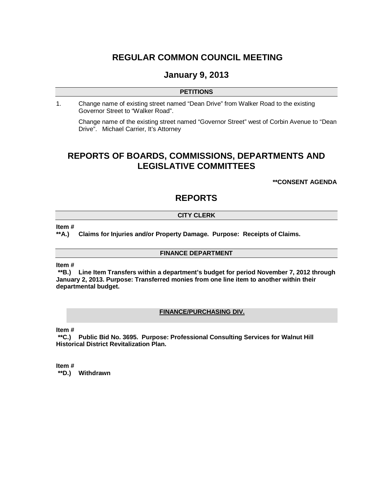# **REGULAR COMMON COUNCIL MEETING**

# **January 9, 2013**

## **PETITIONS**

1. Change name of existing street named "Dean Drive" from Walker Road to the existing Governor Street to "Walker Road".

Change name of the existing street named "Governor Street" west of Corbin Avenue to "Dean Drive". Michael Carrier, It's Attorney

# **REPORTS OF BOARDS, COMMISSIONS, DEPARTMENTS AND LEGISLATIVE COMMITTEES**

**\*\*CONSENT AGENDA**

# **REPORTS**

## **CITY CLERK**

**Item #**

**\*\*A.) Claims for Injuries and/or Property Damage. Purpose: Receipts of Claims.**

## **FINANCE DEPARTMENT**

**Item #**

**\*\*B.) Line Item Transfers within a department's budget for period November 7, 2012 through January 2, 2013. Purpose: Transferred monies from one line item to another within their departmental budget.**

## **FINANCE/PURCHASING DIV.**

**Item #**

**\*\*C.) Public Bid No. 3695. Purpose: Professional Consulting Services for Walnut Hill Historical District Revitalization Plan.**

**Item #**

**\*\*D.) Withdrawn**